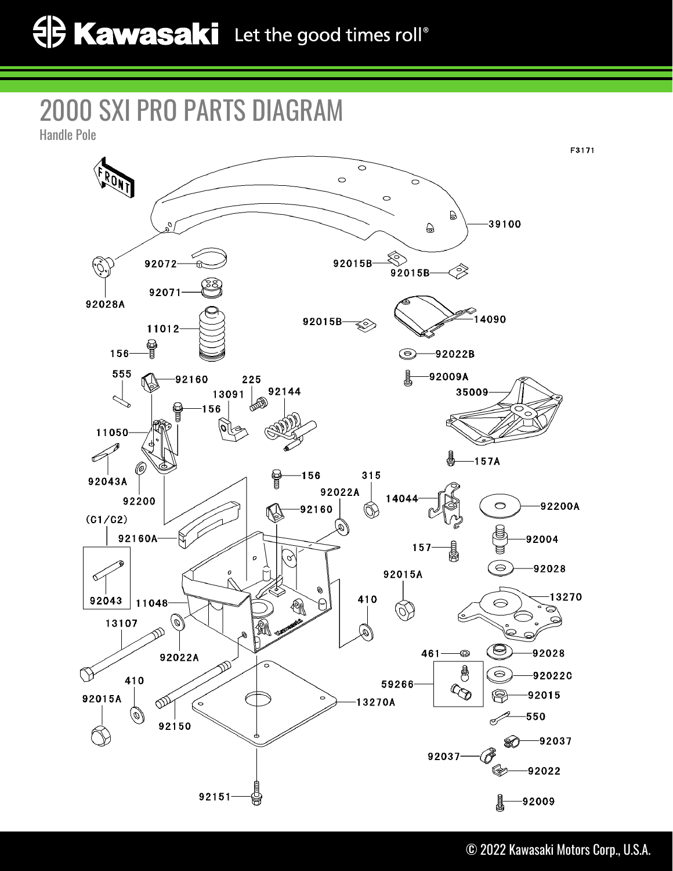## 2000 SXI PRO PARTS DIAGRAM

Handle Pole

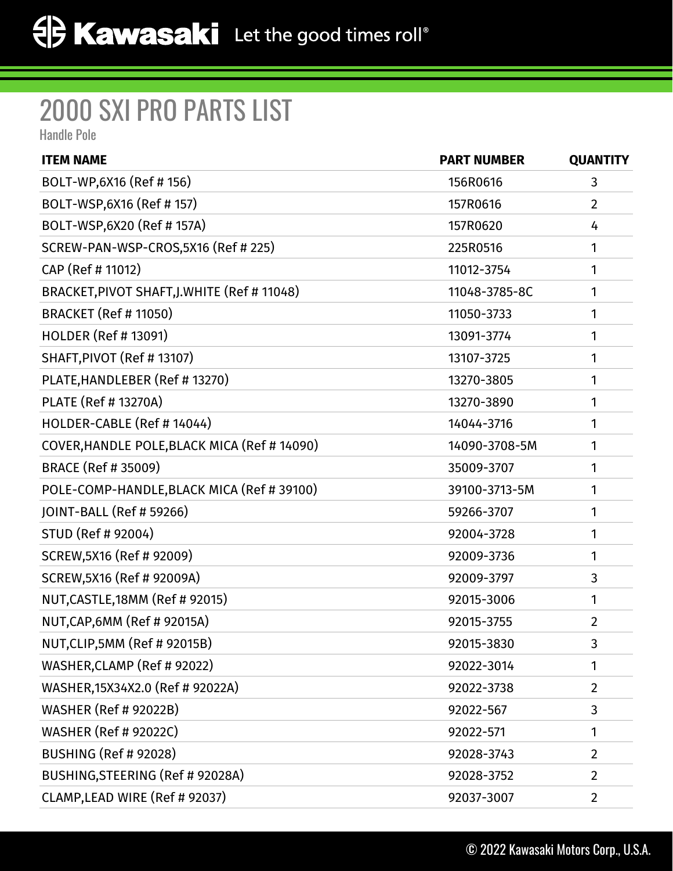## 2000 SXI PRO PARTS LIST

Handle Pole

| <b>ITEM NAME</b>                             | <b>PART NUMBER</b> | <b>QUANTITY</b> |
|----------------------------------------------|--------------------|-----------------|
| BOLT-WP,6X16 (Ref # 156)                     | 156R0616           | 3               |
| BOLT-WSP, 6X16 (Ref # 157)                   | 157R0616           | $\overline{2}$  |
| BOLT-WSP,6X20 (Ref # 157A)                   | 157R0620           | 4               |
| SCREW-PAN-WSP-CROS,5X16 (Ref # 225)          | 225R0516           | 1               |
| CAP (Ref # 11012)                            | 11012-3754         | 1               |
| BRACKET, PIVOT SHAFT, J. WHITE (Ref # 11048) | 11048-3785-8C      | 1               |
| <b>BRACKET (Ref # 11050)</b>                 | 11050-3733         | 1               |
| <b>HOLDER (Ref #13091)</b>                   | 13091-3774         | 1               |
| SHAFT, PIVOT (Ref # 13107)                   | 13107-3725         | 1               |
| PLATE, HANDLEBER (Ref # 13270)               | 13270-3805         | 1               |
| PLATE (Ref # 13270A)                         | 13270-3890         | 1               |
| HOLDER-CABLE (Ref # 14044)                   | 14044-3716         | 1               |
| COVER, HANDLE POLE, BLACK MICA (Ref # 14090) | 14090-3708-5M      | 1               |
| <b>BRACE (Ref # 35009)</b>                   | 35009-3707         | 1               |
| POLE-COMP-HANDLE, BLACK MICA (Ref # 39100)   | 39100-3713-5M      | 1               |
| JOINT-BALL (Ref # 59266)                     | 59266-3707         | 1               |
| STUD (Ref # 92004)                           | 92004-3728         | 1               |
| SCREW, 5X16 (Ref # 92009)                    | 92009-3736         | 1               |
| SCREW, 5X16 (Ref # 92009A)                   | 92009-3797         | 3               |
| NUT, CASTLE, 18MM (Ref # 92015)              | 92015-3006         | 1               |
| NUT, CAP, 6MM (Ref # 92015A)                 | 92015-3755         | $\overline{2}$  |
| NUT, CLIP, 5MM (Ref # 92015B)                | 92015-3830         | 3               |
| WASHER, CLAMP (Ref # 92022)                  | 92022-3014         | 1               |
| WASHER, 15X34X2.0 (Ref # 92022A)             | 92022-3738         | $\overline{2}$  |
| <b>WASHER (Ref # 92022B)</b>                 | 92022-567          | 3               |
| <b>WASHER (Ref # 92022C)</b>                 | 92022-571          | 1               |
| <b>BUSHING (Ref # 92028)</b>                 | 92028-3743         | $\overline{2}$  |
| BUSHING, STEERING (Ref # 92028A)             | 92028-3752         | $\overline{2}$  |
| CLAMP, LEAD WIRE (Ref # 92037)               | 92037-3007         | $\overline{2}$  |